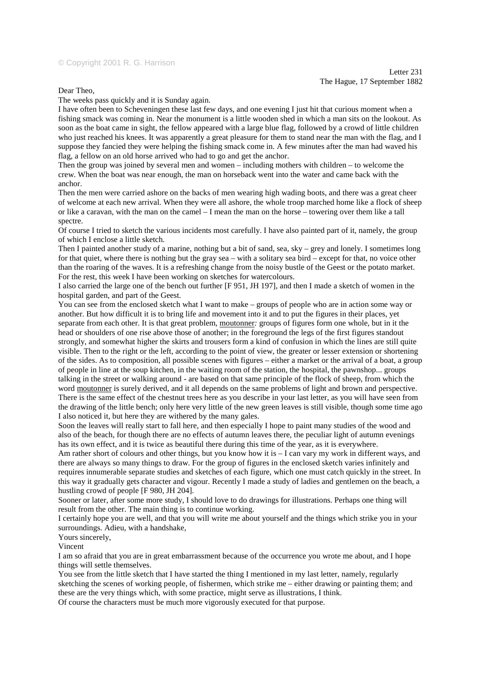## © Copyright 2001 R. G. Harrison

## Dear Theo,

The weeks pass quickly and it is Sunday again.

I have often been to Scheveningen these last few days, and one evening I just hit that curious moment when a fishing smack was coming in. Near the monument is a little wooden shed in which a man sits on the lookout. As soon as the boat came in sight, the fellow appeared with a large blue flag, followed by a crowd of little children who just reached his knees. It was apparently a great pleasure for them to stand near the man with the flag, and I suppose they fancied they were helping the fishing smack come in. A few minutes after the man had waved his flag, a fellow on an old horse arrived who had to go and get the anchor.

Then the group was joined by several men and women – including mothers with children – to welcome the crew. When the boat was near enough, the man on horseback went into the water and came back with the anchor.

Then the men were carried ashore on the backs of men wearing high wading boots, and there was a great cheer of welcome at each new arrival. When they were all ashore, the whole troop marched home like a flock of sheep or like a caravan, with the man on the camel – I mean the man on the horse – towering over them like a tall spectre.

Of course I tried to sketch the various incidents most carefully. I have also painted part of it, namely, the group of which I enclose a little sketch.

Then I painted another study of a marine, nothing but a bit of sand, sea, sky – grey and lonely. I sometimes long for that quiet, where there is nothing but the gray sea – with a solitary sea bird – except for that, no voice other than the roaring of the waves. It is a refreshing change from the noisy bustle of the Geest or the potato market. For the rest, this week I have been working on sketches for watercolours.

I also carried the large one of the bench out further [F 951, JH 197], and then I made a sketch of women in the hospital garden, and part of the Geest.

You can see from the enclosed sketch what I want to make – groups of people who are in action some way or another. But how difficult it is to bring life and movement into it and to put the figures in their places, yet separate from each other. It is that great problem, moutonner*:* groups of figures form one whole, but in it the head or shoulders of one rise above those of another; in the foreground the legs of the first figures standout strongly, and somewhat higher the skirts and trousers form a kind of confusion in which the lines are still quite visible. Then to the right or the left, according to the point of view, the greater or lesser extension or shortening of the sides. As to composition, all possible scenes with figures – either a market or the arrival of a boat, a group of people in line at the soup kitchen, in the waiting room of the station, the hospital, the pawnshop... groups talking in the street or walking around - are based on that same principle of the flock of sheep, from which the word moutonner is surely derived, and it all depends on the same problems of light and brown and perspective. There is the same effect of the chestnut trees here as you describe in your last letter, as you will have seen from the drawing of the little bench; only here very little of the new green leaves is still visible, though some time ago I also noticed it, but here they are withered by the many gales.

Soon the leaves will really start to fall here, and then especially I hope to paint many studies of the wood and also of the beach, for though there are no effects of autumn leaves there, the peculiar light of autumn evenings has its own effect, and it is twice as beautiful there during this time of the year, as it is everywhere.

Am rather short of colours and other things, but you know how it is  $-1$  can vary my work in different ways, and there are always so many things to draw. For the group of figures in the enclosed sketch varies infinitely and requires innumerable separate studies and sketches of each figure, which one must catch quickly in the street. In this way it gradually gets character and vigour. Recently I made a study of ladies and gentlemen on the beach, a hustling crowd of people [F 980, JH 204].

Sooner or later, after some more study, I should love to do drawings for illustrations. Perhaps one thing will result from the other. The main thing is to continue working.

I certainly hope you are well, and that you will write me about yourself and the things which strike you in your surroundings. Adieu, with a handshake,

Yours sincerely.

Vincent

I am so afraid that you are in great embarrassment because of the occurrence you wrote me about, and I hope things will settle themselves.

You see from the little sketch that I have started the thing I mentioned in my last letter, namely, regularly sketching the scenes of working people, of fishermen, which strike me – either drawing or painting them; and these are the very things which, with some practice, might serve as illustrations, I think.

Of course the characters must be much more vigorously executed for that purpose.